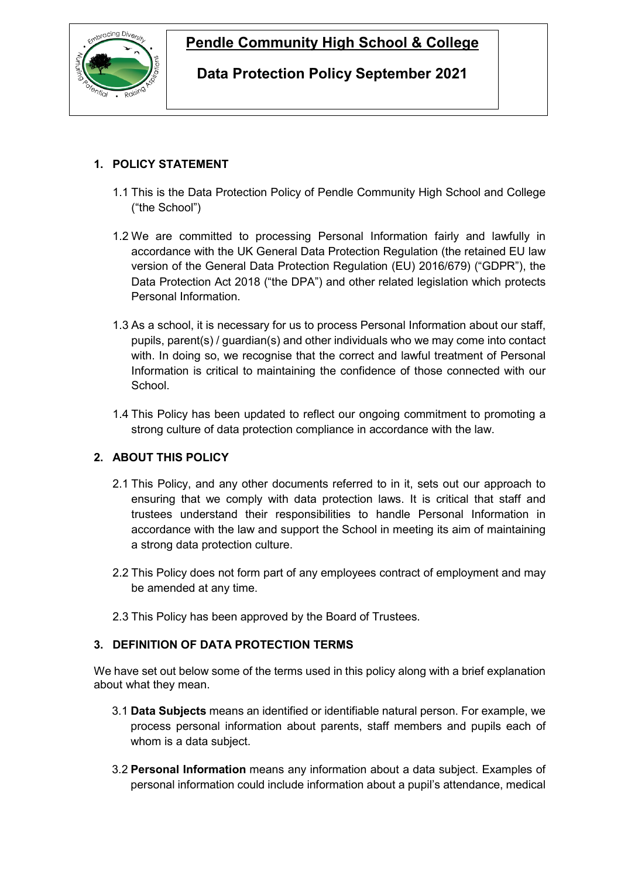

# **Pendle Community High School & College**

# **Data Protection Policy September 2021**

# **1. POLICY STATEMENT**

- 1.1 This is the Data Protection Policy of Pendle Community High School and College ("the School")
- 1.2 We are committed to processing Personal Information fairly and lawfully in accordance with the UK General Data Protection Regulation (the retained EU law version of the General Data Protection Regulation (EU) 2016/679) ("GDPR"), the Data Protection Act 2018 ("the DPA") and other related legislation which protects Personal Information.
- 1.3 As a school, it is necessary for us to process Personal Information about our staff, pupils, parent(s) / guardian(s) and other individuals who we may come into contact with. In doing so, we recognise that the correct and lawful treatment of Personal Information is critical to maintaining the confidence of those connected with our School.
- 1.4 This Policy has been updated to reflect our ongoing commitment to promoting a strong culture of data protection compliance in accordance with the law.

# **2. ABOUT THIS POLICY**

- 2.1 This Policy, and any other documents referred to in it, sets out our approach to ensuring that we comply with data protection laws. It is critical that staff and trustees understand their responsibilities to handle Personal Information in accordance with the law and support the School in meeting its aim of maintaining a strong data protection culture.
- 2.2 This Policy does not form part of any employees contract of employment and may be amended at any time.
- 2.3 This Policy has been approved by the Board of Trustees.

# **3. DEFINITION OF DATA PROTECTION TERMS**

We have set out below some of the terms used in this policy along with a brief explanation about what they mean.

- 3.1 **Data Subjects** means an identified or identifiable natural person. For example, we process personal information about parents, staff members and pupils each of whom is a data subject.
- 3.2 **Personal Information** means any information about a data subject. Examples of personal information could include information about a pupil's attendance, medical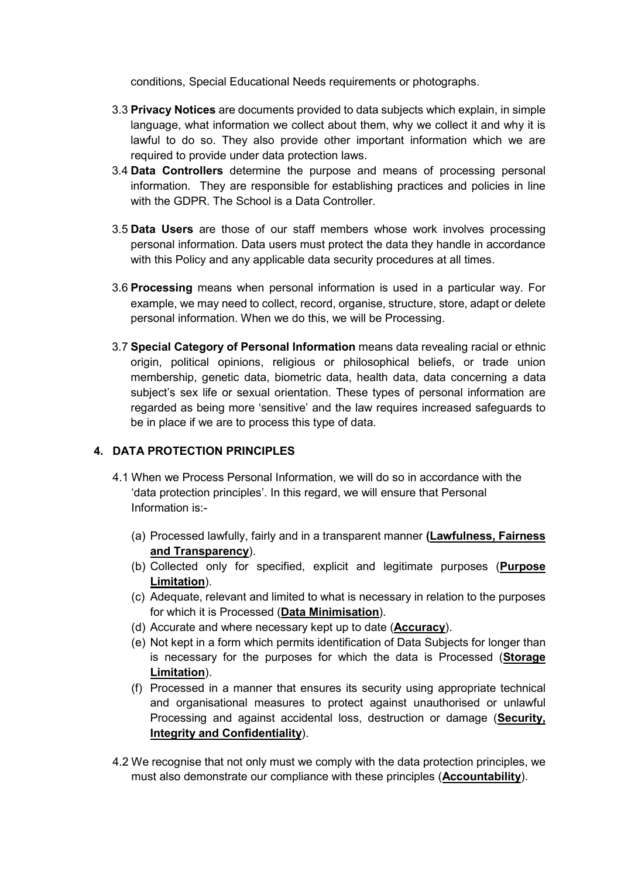conditions, Special Educational Needs requirements or photographs.

- 3.3 **Privacy Notices** are documents provided to data subjects which explain, in simple language, what information we collect about them, why we collect it and why it is lawful to do so. They also provide other important information which we are required to provide under data protection laws.
- 3.4 **Data Controllers** determine the purpose and means of processing personal information. They are responsible for establishing practices and policies in line with the GDPR. The School is a Data Controller.
- 3.5 **Data Users** are those of our staff members whose work involves processing personal information. Data users must protect the data they handle in accordance with this Policy and any applicable data security procedures at all times.
- 3.6 **Processing** means when personal information is used in a particular way. For example, we may need to collect, record, organise, structure, store, adapt or delete personal information. When we do this, we will be Processing.
- 3.7 **Special Category of Personal Information** means data revealing racial or ethnic origin, political opinions, religious or philosophical beliefs, or trade union membership, genetic data, biometric data, health data, data concerning a data subject's sex life or sexual orientation. These types of personal information are regarded as being more 'sensitive' and the law requires increased safeguards to be in place if we are to process this type of data.

# **4. DATA PROTECTION PRINCIPLES**

- 4.1 When we Process Personal Information, we will do so in accordance with the 'data protection principles'. In this regard, we will ensure that Personal Information is:-
	- (a) Processed lawfully, fairly and in a transparent manner **(Lawfulness, Fairness and Transparency**).
	- (b) Collected only for specified, explicit and legitimate purposes (**Purpose Limitation**).
	- (c) Adequate, relevant and limited to what is necessary in relation to the purposes for which it is Processed (**Data Minimisation**).
	- (d) Accurate and where necessary kept up to date (**Accuracy**).
	- (e) Not kept in a form which permits identification of Data Subjects for longer than is necessary for the purposes for which the data is Processed (**Storage Limitation**).
	- (f) Processed in a manner that ensures its security using appropriate technical and organisational measures to protect against unauthorised or unlawful Processing and against accidental loss, destruction or damage (**Security, Integrity and Confidentiality**).
- 4.2 We recognise that not only must we comply with the data protection principles, we must also demonstrate our compliance with these principles (**Accountability**).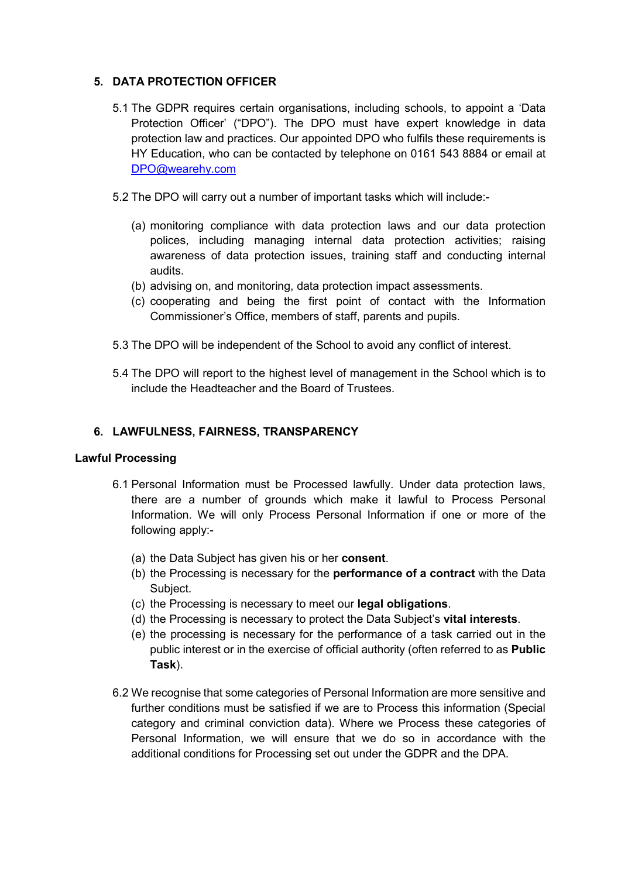# **5. DATA PROTECTION OFFICER**

- 5.1 The GDPR requires certain organisations, including schools, to appoint a 'Data Protection Officer' ("DPO"). The DPO must have expert knowledge in data protection law and practices. Our appointed DPO who fulfils these requirements is HY Education, who can be contacted by telephone on 0161 543 8884 or email at [DPO@wearehy.com](mailto:DPO@wearehy.com)
- 5.2 The DPO will carry out a number of important tasks which will include:-
	- (a) monitoring compliance with data protection laws and our data protection polices, including managing internal data protection activities; raising awareness of data protection issues, training staff and conducting internal audits.
	- (b) advising on, and monitoring, data protection impact assessments.
	- (c) cooperating and being the first point of contact with the Information Commissioner's Office, members of staff, parents and pupils.
- 5.3 The DPO will be independent of the School to avoid any conflict of interest.
- 5.4 The DPO will report to the highest level of management in the School which is to include the Headteacher and the Board of Trustees.

#### **6. LAWFULNESS, FAIRNESS, TRANSPARENCY**

#### <span id="page-2-0"></span>**Lawful Processing**

- 6.1 Personal Information must be Processed lawfully. Under data protection laws, there are a number of grounds which make it lawful to Process Personal Information. We will only Process Personal Information if one or more of the following apply:-
	- (a) the Data Subject has given his or her **consent**.
	- (b) the Processing is necessary for the **performance of a contract** with the Data Subject.
	- (c) the Processing is necessary to meet our **legal obligations**.
	- (d) the Processing is necessary to protect the Data Subject's **vital interests**.
	- (e) the processing is necessary for the performance of a task carried out in the public interest or in the exercise of official authority (often referred to as **Public Task**).
- 6.2 We recognise that some categories of Personal Information are more sensitive and further conditions must be satisfied if we are to Process this information (Special category and criminal conviction data). Where we Process these categories of Personal Information, we will ensure that we do so in accordance with the additional conditions for Processing set out under the GDPR and the DPA.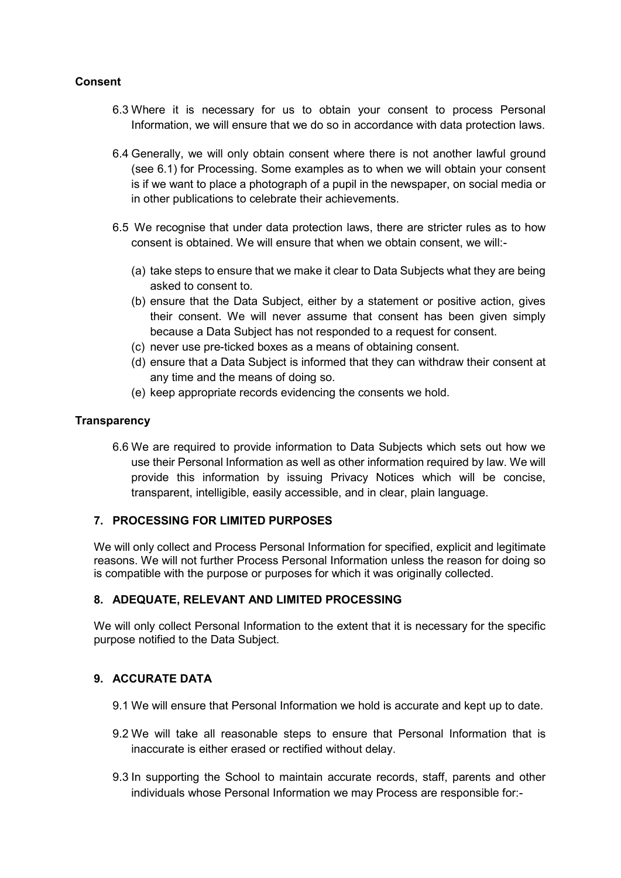# **Consent**

- 6.3 Where it is necessary for us to obtain your consent to process Personal Information, we will ensure that we do so in accordance with data protection laws.
- 6.4 Generally, we will only obtain consent where there is not another lawful ground (see [6.1\)](#page-2-0) for Processing. Some examples as to when we will obtain your consent is if we want to place a photograph of a pupil in the newspaper, on social media or in other publications to celebrate their achievements.
- 6.5 We recognise that under data protection laws, there are stricter rules as to how consent is obtained. We will ensure that when we obtain consent, we will:-
	- (a) take steps to ensure that we make it clear to Data Subjects what they are being asked to consent to.
	- (b) ensure that the Data Subject, either by a statement or positive action, gives their consent. We will never assume that consent has been given simply because a Data Subject has not responded to a request for consent.
	- (c) never use pre-ticked boxes as a means of obtaining consent.
	- (d) ensure that a Data Subject is informed that they can withdraw their consent at any time and the means of doing so.
	- (e) keep appropriate records evidencing the consents we hold.

#### **Transparency**

6.6 We are required to provide information to Data Subjects which sets out how we use their Personal Information as well as other information required by law. We will provide this information by issuing Privacy Notices which will be concise, transparent, intelligible, easily accessible, and in clear, plain language.

#### **7. PROCESSING FOR LIMITED PURPOSES**

We will only collect and Process Personal Information for specified, explicit and legitimate reasons. We will not further Process Personal Information unless the reason for doing so is compatible with the purpose or purposes for which it was originally collected.

#### **8. ADEQUATE, RELEVANT AND LIMITED PROCESSING**

We will only collect Personal Information to the extent that it is necessary for the specific purpose notified to the Data Subject.

# **9. ACCURATE DATA**

- 9.1 We will ensure that Personal Information we hold is accurate and kept up to date.
- 9.2 We will take all reasonable steps to ensure that Personal Information that is inaccurate is either erased or rectified without delay.
- 9.3 In supporting the School to maintain accurate records, staff, parents and other individuals whose Personal Information we may Process are responsible for:-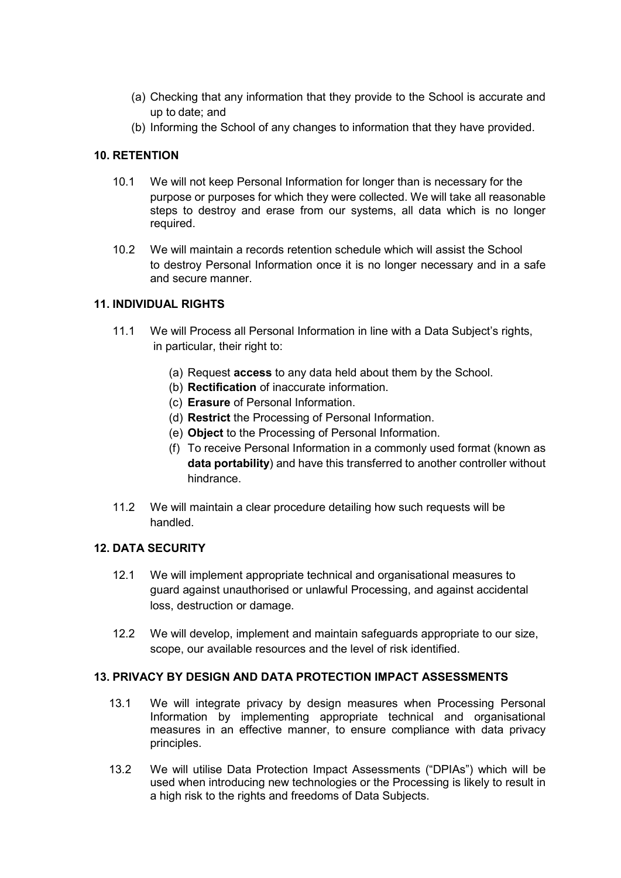- (a) Checking that any information that they provide to the School is accurate and up to date; and
- (b) Informing the School of any changes to information that they have provided.

#### **10. RETENTION**

- 10.1 We will not keep Personal Information for longer than is necessary for the purpose or purposes for which they were collected. We will take all reasonable steps to destroy and erase from our systems, all data which is no longer required.
- 10.2 We will maintain a records retention schedule which will assist the School to destroy Personal Information once it is no longer necessary and in a safe and secure manner.

#### **11. INDIVIDUAL RIGHTS**

- 11.1 We will Process all Personal Information in line with a Data Subject's rights, in particular, their right to:
	- (a) Request **access** to any data held about them by the School.
	- (b) **Rectification** of inaccurate information.
	- (c) **Erasure** of Personal Information.
	- (d) **Restrict** the Processing of Personal Information.
	- (e) **Object** to the Processing of Personal Information.
	- (f) To receive Personal Information in a commonly used format (known as **data portability**) and have this transferred to another controller without hindrance.
- 11.2 We will maintain a clear procedure detailing how such requests will be handled.

#### **12. DATA SECURITY**

- 12.1 We will implement appropriate technical and organisational measures to guard against unauthorised or unlawful Processing, and against accidental loss, destruction or damage.
- 12.2 We will develop, implement and maintain safeguards appropriate to our size, scope, our available resources and the level of risk identified.

#### **13. PRIVACY BY DESIGN AND DATA PROTECTION IMPACT ASSESSMENTS**

- 13.1 We will integrate privacy by design measures when Processing Personal Information by implementing appropriate technical and organisational measures in an effective manner, to ensure compliance with data privacy principles.
- 13.2 We will utilise Data Protection Impact Assessments ("DPIAs") which will be used when introducing new technologies or the Processing is likely to result in a high risk to the rights and freedoms of Data Subjects.